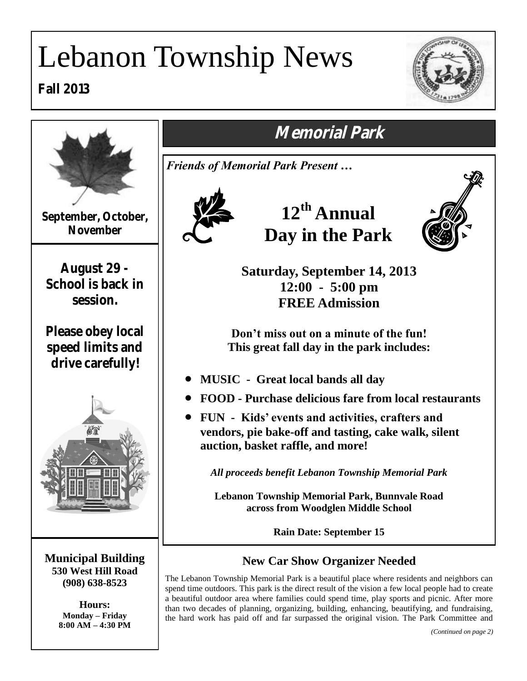# Lebanon Township News

**Fall 2013**



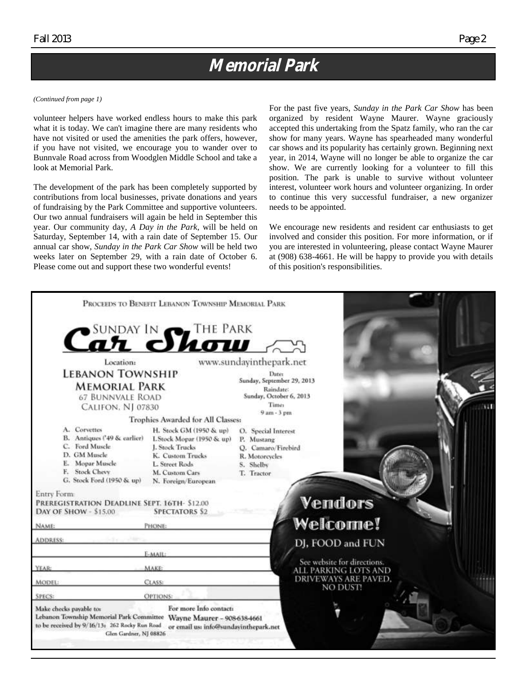### **Memorial Park**

#### *(Continued from page 1)*

volunteer helpers have worked endless hours to make this park what it is today. We can't imagine there are many residents who have not visited or used the amenities the park offers, however, if you have not visited, we encourage you to wander over to Bunnvale Road across from Woodglen Middle School and take a look at Memorial Park.

The development of the park has been completely supported by contributions from local businesses, private donations and years of fundraising by the Park Committee and supportive volunteers. Our two annual fundraisers will again be held in September this year. Our community day, *A Day in the Park*, will be held on Saturday, September 14, with a rain date of September 15. Our annual car show, *Sunday in the Park Car Show* will be held two weeks later on September 29, with a rain date of October 6. Please come out and support these two wonderful events!

For the past five years, *Sunday in the Park Car Show* has been organized by resident Wayne Maurer. Wayne graciously accepted this undertaking from the Spatz family, who ran the car show for many years. Wayne has spearheaded many wonderful car shows and its popularity has certainly grown. Beginning next year, in 2014, Wayne will no longer be able to organize the car show. We are currently looking for a volunteer to fill this position. The park is unable to survive without volunteer interest, volunteer work hours and volunteer organizing. In order to continue this very successful fundraiser, a new organizer needs to be appointed.

We encourage new residents and resident car enthusiasts to get involved and consider this position. For more information, or if you are interested in volunteering, please contact Wayne Maurer at (908) 638-4661. He will be happy to provide you with details of this position's responsibilities.

|                                                                                                                                                                                                                | PROCEEDS TO BENEFIT LEBANON TOWNSHIP MEMORIAL PARK                                                                                                                                           |                                                                                                                        |
|----------------------------------------------------------------------------------------------------------------------------------------------------------------------------------------------------------------|----------------------------------------------------------------------------------------------------------------------------------------------------------------------------------------------|------------------------------------------------------------------------------------------------------------------------|
| <b>Location:</b>                                                                                                                                                                                               | Car Show IN                                                                                                                                                                                  | www.sundayinthepark.net                                                                                                |
| <b>LEBANON TOWNSHIP</b><br><b>MEMORIAL PARK</b><br><b>67 BUNNVALE ROAD</b><br>CALIFON, NJ 07830                                                                                                                |                                                                                                                                                                                              | Date:<br>Sunday, September 29, 2013<br>Raindate:<br>Sunday, October 6, 2013<br>Times<br>$9am - 3pm$                    |
| A. Corvettes<br>B. Antiques ('49 & earlier)<br>C. Ford Muscle<br>D. GM Muscle<br>E. Mopar Muscle<br>F. Stock Chevy<br>G. Stock Ford (1950 & up)<br>Entry Form:<br>PREREGISTRATION DEADLINE SEPT. 16TH- \$12.00 | Trophies Awarded for All Classes:<br>H. Stock GM (1950 & up)<br>I. Stock Mopar (1950 & up)<br>J. Stock Trucks<br>K. Custom Trucks<br>L. Street Rods<br>M. Custom Cars<br>N. Foreign/European | O. Special Interest<br>P. Mustang<br>O. Camaro/Firebird<br>R. Motorcycles<br>S. Shelby<br>T. Tractor<br><b>Vendors</b> |
| DAY OF SHOW - \$15.00<br><b>NAME:</b>                                                                                                                                                                          | <b>SPECTATORS \$2</b><br>PHONE:                                                                                                                                                              | <b>Welcome!</b>                                                                                                        |
| ADDRESS:                                                                                                                                                                                                       | E-MAIL:                                                                                                                                                                                      | DJ, FOOD and FUN                                                                                                       |
| YEAR:                                                                                                                                                                                                          | <b>MAKE:</b>                                                                                                                                                                                 | See website for directions.<br><b>ALL PARKING LOTS AND</b>                                                             |
| <b>MODEL:</b>                                                                                                                                                                                                  | CLASS:                                                                                                                                                                                       | <b>DRIVEWAYS ARE PAVED.</b><br>NO DUST!                                                                                |
| <b>SPECS:</b>                                                                                                                                                                                                  | OPTIONS:                                                                                                                                                                                     |                                                                                                                        |
| Make checks payable to:<br>Lebanon Township Memorial Park Committee Wayne Maurer - 908-638-4661<br>to be received by 9/16/13: 262 Rocky Run Road<br>Glen Gardner, NJ 08826                                     | For more Info contact:<br>or email us: info@sundayinthepark.net                                                                                                                              |                                                                                                                        |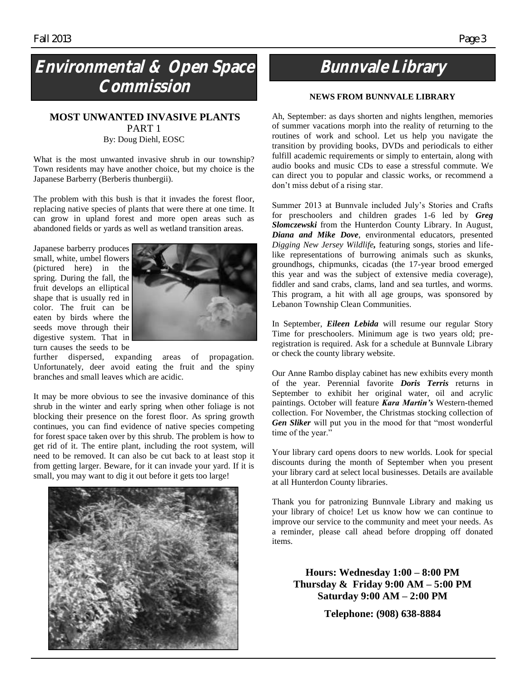## **Environmental & Open Space Commission**

#### **MOST UNWANTED INVASIVE PLANTS** PART 1 By: Doug Diehl, EOSC

What is the most unwanted invasive shrub in our township? Town residents may have another choice, but my choice is the Japanese Barberry (Berberis thunbergii).

The problem with this bush is that it invades the forest floor, replacing native species of plants that were there at one time. It can grow in upland forest and more open areas such as abandoned fields or yards as well as wetland transition areas.

Japanese barberry produces small, white, umbel flowers (pictured here) in the spring. During the fall, the fruit develops an elliptical shape that is usually red in color. The fruit can be eaten by birds where the seeds move through their digestive system. That in turn causes the seeds to be



further dispersed, expanding areas of propagation. Unfortunately, deer avoid eating the fruit and the spiny branches and small leaves which are acidic.

It may be more obvious to see the invasive dominance of this shrub in the winter and early spring when other foliage is not blocking their presence on the forest floor. As spring growth continues, you can find evidence of native species competing for forest space taken over by this shrub. The problem is how to get rid of it. The entire plant, including the root system, will need to be removed. It can also be cut back to at least stop it from getting larger. Beware, for it can invade your yard. If it is small, you may want to dig it out before it gets too large!



## **Bunnvale Library**

#### **NEWS FROM BUNNVALE LIBRARY**

Ah, September: as days shorten and nights lengthen, memories of summer vacations morph into the reality of returning to the routines of work and school. Let us help you navigate the transition by providing books, DVDs and periodicals to either fulfill academic requirements or simply to entertain, along with audio books and music CDs to ease a stressful commute. We can direct you to popular and classic works, or recommend a don't miss debut of a rising star.

Summer 2013 at Bunnvale included July's Stories and Crafts for preschoolers and children grades 1-6 led by *Greg Slomczewski* from the Hunterdon County Library. In August, *Diana and Mike Dove*, environmental educators, presented *Digging New Jersey Wildlife,* featuring songs, stories and lifelike representations of burrowing animals such as skunks, groundhogs, chipmunks, cicadas (the 17-year brood emerged this year and was the subject of extensive media coverage), fiddler and sand crabs, clams, land and sea turtles, and worms. This program, a hit with all age groups, was sponsored by Lebanon Township Clean Communities.

In September, *Eileen Lebida* will resume our regular Story Time for preschoolers. Minimum age is two years old; preregistration is required. Ask for a schedule at Bunnvale Library or check the county library website.

Our Anne Rambo display cabinet has new exhibits every month of the year. Perennial favorite *Doris Terris* returns in September to exhibit her original water, oil and acrylic paintings. October will feature *Kara Martin's* Western-themed collection. For November, the Christmas stocking collection of *Gen Sliker* will put you in the mood for that "most wonderful time of the year."

Your library card opens doors to new worlds. Look for special discounts during the month of September when you present your library card at select local businesses. Details are available at all Hunterdon County libraries.

Thank you for patronizing Bunnvale Library and making us your library of choice! Let us know how we can continue to improve our service to the community and meet your needs. As a reminder, please call ahead before dropping off donated items.

**Hours: Wednesday 1:00 – 8:00 PM Thursday & Friday 9:00 AM – 5:00 PM Saturday 9:00 AM – 2:00 PM**

**Telephone: (908) 638-8884**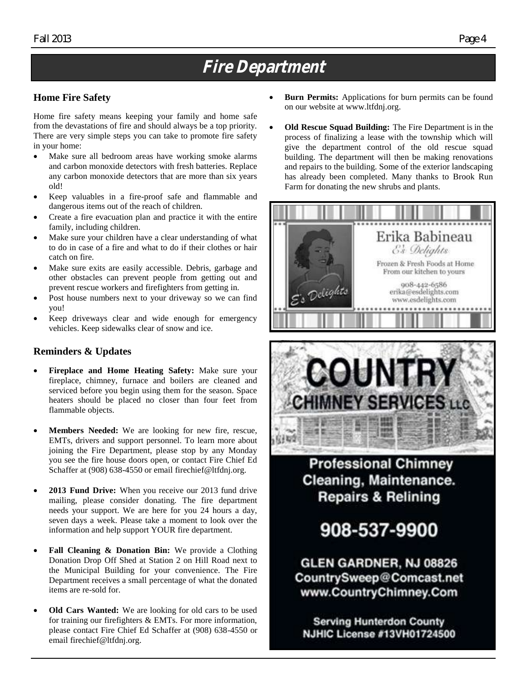## **Fire Department**

#### **Home Fire Safety**

Home fire safety means keeping your family and home safe from the devastations of fire and should always be a top priority. There are very simple steps you can take to promote fire safety in your home:

- Make sure all bedroom areas have working smoke alarms and carbon monoxide detectors with fresh batteries. Replace any carbon monoxide detectors that are more than six years old!
- Keep valuables in a fire-proof safe and flammable and dangerous items out of the reach of children.
- Create a fire evacuation plan and practice it with the entire family, including children.
- Make sure your children have a clear understanding of what to do in case of a fire and what to do if their clothes or hair catch on fire.
- Make sure exits are easily accessible. Debris, garbage and other obstacles can prevent people from getting out and prevent rescue workers and firefighters from getting in.
- Post house numbers next to your driveway so we can find you!
- Keep driveways clear and wide enough for emergency vehicles. Keep sidewalks clear of snow and ice.

#### **Reminders & Updates**

- **Fireplace and Home Heating Safety:** Make sure your fireplace, chimney, furnace and boilers are cleaned and serviced before you begin using them for the season. Space heaters should be placed no closer than four feet from flammable objects.
- **Members Needed:** We are looking for new fire, rescue, EMTs, drivers and support personnel. To learn more about joining the Fire Department, please stop by any Monday you see the fire house doors open, or contact Fire Chief Ed Schaffer at (908) 638-4550 or email firechief@ltfdnj.org.
- **2013 Fund Drive:** When you receive our 2013 fund drive mailing, please consider donating. The fire department needs your support. We are here for you 24 hours a day, seven days a week. Please take a moment to look over the information and help support YOUR fire department.
- Fall Cleaning & Donation Bin: We provide a Clothing Donation Drop Off Shed at Station 2 on Hill Road next to the Municipal Building for your convenience. The Fire Department receives a small percentage of what the donated items are re-sold for.
- **Old Cars Wanted:** We are looking for old cars to be used for training our firefighters & EMTs. For more information, please contact Fire Chief Ed Schaffer at (908) 638-4550 or email firechief@ltfdnj.org.
- **Burn Permits:** Applications for burn permits can be found on our website at www.ltfdnj.org.
- **Old Rescue Squad Building:** The Fire Department is in the process of finalizing a lease with the township which will give the department control of the old rescue squad building. The department will then be making renovations and repairs to the building. Some of the exterior landscaping has already been completed. Many thanks to Brook Run Farm for donating the new shrubs and plants.





**Professional Chimney** Cleaning, Maintenance. **Repairs & Relining** 

908-537-9900

GLEN GARDNER, NJ 08826 CountrySweep@Comcast.net www.CountryChimney.Com

**Serving Hunterdon County NJHIC License #13VH01724500**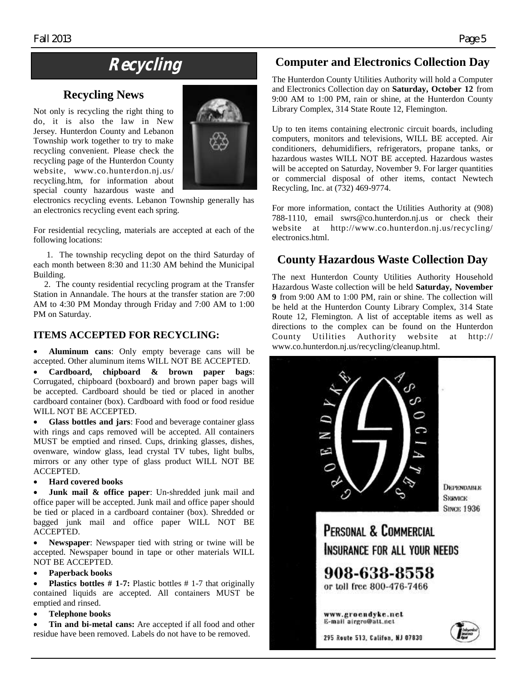## **Recycling**

#### **Recycling News**

Not only is recycling the right thing to do, it is also the law in New Jersey. Hunterdon County and Lebanon Township work together to try to make recycling convenient. Please check the recycling page of the Hunterdon County website, www.co.hunterdon.nj.us/ recycling.htm, for information about special county hazardous waste and



electronics recycling events. Lebanon Township generally has an electronics recycling event each spring.

For residential recycling, materials are accepted at each of the following locations:

 1. The township recycling depot on the third Saturday of each month between 8:30 and 11:30 AM behind the Municipal Building.

 2. The county residential recycling program at the Transfer Station in Annandale. The hours at the transfer station are 7:00 AM to 4:30 PM Monday through Friday and 7:00 AM to 1:00 PM on Saturday.

#### **ITEMS ACCEPTED FOR RECYCLING:**

 **Aluminum cans**: Only empty beverage cans will be accepted. Other aluminum items WILL NOT BE ACCEPTED.

 **Cardboard, chipboard & brown paper bags**: Corrugated, chipboard (boxboard) and brown paper bags will be accepted. Cardboard should be tied or placed in another cardboard container (box). Cardboard with food or food residue WILL NOT BE ACCEPTED.

 **Glass bottles and jars**: Food and beverage container glass with rings and caps removed will be accepted. All containers MUST be emptied and rinsed. Cups, drinking glasses, dishes, ovenware, window glass, lead crystal TV tubes, light bulbs, mirrors or any other type of glass product WILL NOT BE ACCEPTED.

#### **Hard covered books**

 **Junk mail & office paper**: Un-shredded junk mail and office paper will be accepted. Junk mail and office paper should be tied or placed in a cardboard container (box). Shredded or bagged junk mail and office paper WILL NOT BE ACCEPTED.

 **Newspaper**: Newspaper tied with string or twine will be accepted. Newspaper bound in tape or other materials WILL NOT BE ACCEPTED.

#### **Paperback books**

 **Plastics bottles # 1-7:** Plastic bottles # 1-7 that originally contained liquids are accepted. All containers MUST be emptied and rinsed.

#### **Telephone books**

 **Tin and bi-metal cans:** Are accepted if all food and other residue have been removed. Labels do not have to be removed.

### **Computer and Electronics Collection Day**

The Hunterdon County Utilities Authority will hold a Computer and Electronics Collection day on **Saturday, October 12** from 9:00 AM to 1:00 PM, rain or shine, at the Hunterdon County Library Complex, 314 State Route 12, Flemington.

Up to ten items containing electronic circuit boards, including computers, monitors and televisions, WILL BE accepted. Air conditioners, dehumidifiers, refrigerators, propane tanks, or hazardous wastes WILL NOT BE accepted. Hazardous wastes will be accepted on Saturday, November 9. For larger quantities or commercial disposal of other items, contact Newtech Recycling, Inc. at (732) 469-9774.

For more information, contact the Utilities Authority at (908) 788-1110, email swrs@co.hunterdon.nj.us or check their website at http://www.co.hunterdon.nj.us/recycling/ electronics.html.

### **County Hazardous Waste Collection Day**

The next Hunterdon County Utilities Authority Household Hazardous Waste collection will be held **Saturday, November 9** from 9:00 AM to 1:00 PM, rain or shine. The collection will be held at the Hunterdon County Library Complex, 314 State Route 12, Flemington. A list of acceptable items as well as directions to the complex can be found on the Hunterdon County Utilities Authority website at http:// www.co.hunterdon.nj.us/recycling/cleanup.html.

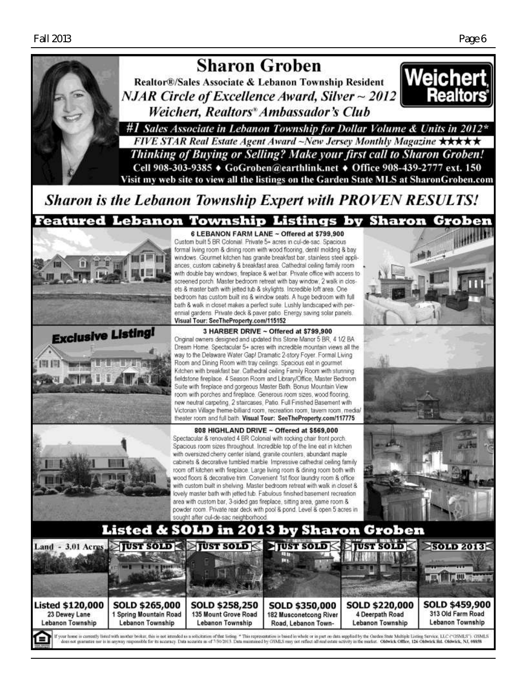

## **Sharon Groben**

Realtor®/Sales Associate & Lebanon Township Resident  $NJAR$  Circle of Excellence Award, Silver  $\sim$  2012 Weichert, Realtors<sup>®</sup> Ambassador's Club



#1 Sales Associate in Lebanon Township for Dollar Volume & Units in 2012\* FIVE STAR Real Estate Agent Award ~New Jersey Monthly Magazine  $\star\star\star\star\star$ Thinking of Buying or Selling? Make your first call to Sharon Groben! Cell 908-303-9385 ♦ GoGroben@earthlink.net ♦ Office 908-439-2777 ext. 150 Visit my web site to view all the listings on the Garden State MLS at SharonGroben.com

**Sharon is the Lebanon Township Expert with PROVEN RESULTS!** 







Original owners designed and updated this Stone Manor 5 BR, 4 1/2 BA Dream Home. Spectacular 5+ acres with incredible mountain views all the way to the Delaware Water Gap! Dramatic 2-story Foyer. Formal Living Room and Dining Room with tray ceilings. Spacious eat in gourmet Kitchen with breakfast bar. Cathedral ceiling Family Room with stunning fieldstone fireplace. 4 Season Room and Library/Office, Master Bedroom

Suite with fireplace and gorgeous Master Bath. Bonus Mountain View room with porches and fireplace. Generous room sizes, wood flooring, new neutral carpeting, 2 staircases, Patio. Full Finished Basement with Victorian Village theme-billiard room, recreation room, tavern room, media theater room and full bath. Visual Tour: SeeTheProperty.com/117775

808 HIGHLAND DRIVE ~ Offered at \$569,000 Spectacular & renovated 4 BR Colonial with rocking chair front porch. Spacious room sizes throughout. Incredible top of the line eat in kitchen with oversized cherry center island, granite counters, abundant maple cabinets & decorative tumbled marble. Impressive cathedral ceiling family room off kitchen with fireplace. Large living room & dining room both with wood floors & decorative trim. Convenient 1st floor laundry room & office with custom built in shelving. Master bedroom retreat with walk in closet & lovely master bath with jetted tub. Fabulous finished basement recreation area with custom bar, 3-sided gas fireplace, sitting area, game room & powder room. Private rear deck with pool & pond. Level & open 5 acres in sought after cul-de-sac neighborhood



### Listed & SOLD in 2013 by Sharon Groben TUST SOLD



If your home is currently listed with another broker, this is not intended as a solicitation of that listing \* This representation is based in whole or in part on data supplied by the Clarker State Multiple Listing Service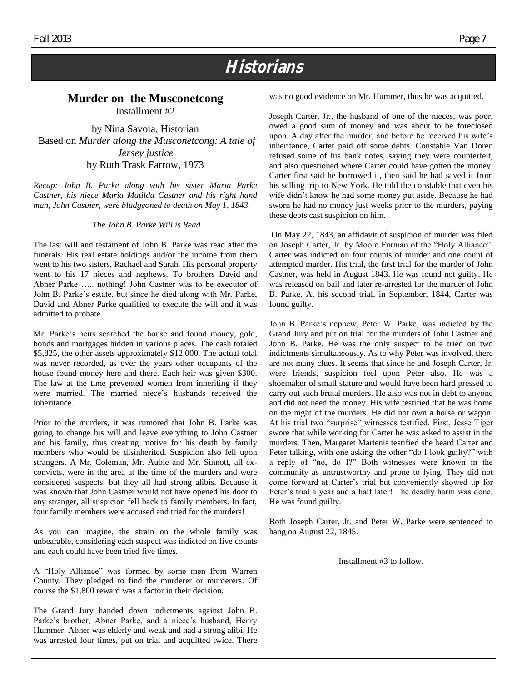## **Historians**

#### **Murder on the Musconetcong**

Installment #2

by Nina Savoia, Historian Based on *Murder along the Musconetcong: A tale of Jersey justice* by Ruth Trask Farrow, 1973

*Recap: John B. Parke along with his sister Maria Parke Castner, his niece Maria Matilda Castner and his right hand man, John Castner, were bludgeoned to death on May 1, 1843.*

#### *The John B. Parke Will is Read*

The last will and testament of John B. Parke was read after the funerals. His real estate holdings and/or the income from them went to his two sisters, Rachael and Sarah. His personal property went to his 17 nieces and nephews. To brothers David and Abner Parke ….. nothing! John Castner was to be executor of John B. Parke's estate, but since he died along with Mr. Parke, David and Abner Parke qualified to execute the will and it was admitted to probate.

Mr. Parke's heirs searched the house and found money, gold, bonds and mortgages hidden in various places. The cash totaled \$5,825, the other assets approximately \$12,000. The actual total was never recorded, as over the years other occupants of the house found money here and there. Each heir was given \$300. The law at the time prevented women from inheriting if they were married. The married niece's husbands received the inheritance.

Prior to the murders, it was rumored that John B. Parke was going to change his will and leave everything to John Castner and his family, thus creating motive for his death by family members who would be disinherited. Suspicion also fell upon strangers. A Mr. Coleman, Mr. Auble and Mr. Sinnott, all exconvicts, were in the area at the time of the murders and were considered suspects, but they all had strong alibis. Because it was known that John Castner would not have opened his door to any stranger, all suspicion fell back to family members. In fact, four family members were accused and tried for the murders!

As you can imagine, the strain on the whole family was unbearable, considering each suspect was indicted on five counts and each could have been tried five times.

A "Holy Alliance" was formed by some men from Warren County. They pledged to find the murderer or murderers. Of course the \$1,800 reward was a factor in their decision.

The Grand Jury handed down indictments against John B. Parke's brother, Abner Parke, and a niece's husband, Henry Hummer. Abner was elderly and weak and had a strong alibi. He was arrested four times, put on trial and acquitted twice. There was no good evidence on Mr. Hummer, thus he was acquitted.

Joseph Carter, Jr., the husband of one of the nieces, was poor, owed a good sum of money and was about to be foreclosed upon. A day after the murder, and before he received his wife's inheritance, Carter paid off some debts. Constable Van Doren refused some of his bank notes, saying they were counterfeit, and also questioned where Carter could have gotten the money. Carter first said he borrowed it, then said he had saved it from his selling trip to New York. He told the constable that even his wife didn't know he had some money put aside. Because he had sworn he had no money just weeks prior to the murders, paying these debts cast suspicion on him.

On May 22, 1843, an affidavit of suspicion of murder was filed on Joseph Carter, Jr. by Moore Furman of the "Holy Alliance". Carter was indicted on four counts of murder and one count of attempted murder. His trial, the first trial for the murder of John Castner, was held in August 1843. He was found not guilty. He was released on bail and later re-arrested for the murder of John B. Parke. At his second trial, in September, 1844, Carter was found guilty.

John B. Parke's nephew, Peter W. Parke, was indicted by the Grand Jury and put on trial for the murders of John Castner and John B. Parke. He was the only suspect to be tried on two indictments simultaneously. As to why Peter was involved, there are not many clues. It seems that since he and Joseph Carter, Jr. were friends, suspicion feel upon Peter also. He was a shoemaker of small stature and would have been hard pressed to carry out such brutal murders. He also was not in debt to anyone and did not need the money. His wife testified that he was home on the night of the murders. He did not own a horse or wagon. At his trial two "surprise" witnesses testified. First, Jesse Tiger swore that while working for Carter he was asked to assist in the murders. Then, Margaret Martenis testified she heard Carter and Peter talking, with one asking the other "do I look guilty?" with a reply of "no, do I?" Both witnesses were known in the community as untrustworthy and prone to lying. They did not come forward at Carter's trial but conveniently showed up for Peter's trial a year and a half later! The deadly harm was done. He was found guilty.

Both Joseph Carter, Jr. and Peter W. Parke were sentenced to hang on August 22, 1845.

Installment #3 to follow.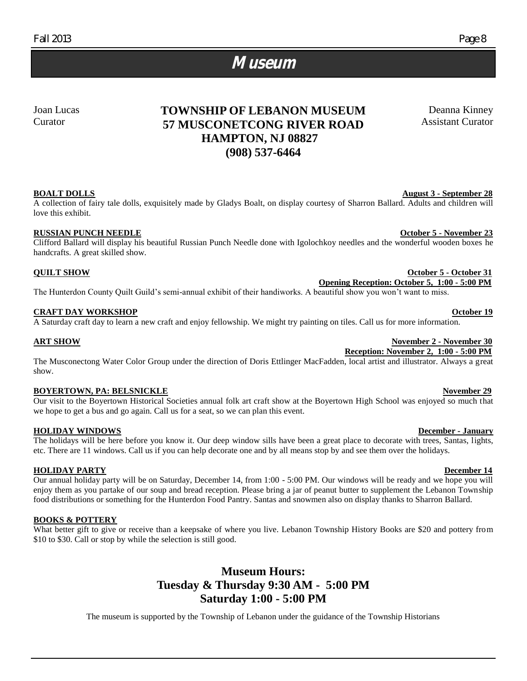### **Museum**

Joan Lucas Curator

#### **TOWNSHIP OF LEBANON MUSEUM 57 MUSCONETCONG RIVER ROAD HAMPTON, NJ 08827 (908) 537-6464**

#### **BOALT DOLLS** August 3 - September 28

A collection of fairy tale dolls, exquisitely made by Gladys Boalt, on display courtesy of Sharron Ballard. Adults and children will love this exhibit.

#### **RUSSIAN PUNCH NEEDLE COLORED ASSESSMENT OF A SET OCTOBER 23**

Clifford Ballard will display his beautiful Russian Punch Needle done with Igolochkoy needles and the wonderful wooden boxes he handcrafts. A great skilled show.

#### **QUILT SHOW October 5 - October 31**

 **Opening Reception: October 5, 1:00 - 5:00 PM** The Hunterdon County Quilt Guild's semi-annual exhibit of their handiworks. A beautiful show you won't want to miss.

#### **CRAFT DAY WORKSHOP CONSULTERING A SEXUAL DESCRIPTION OCTOBER 19**

A Saturday craft day to learn a new craft and enjoy fellowship. We might try painting on tiles. Call us for more information.

The Musconectong Water Color Group under the direction of Doris Ettlinger MacFadden, local artist and illustrator. Always a great show.

#### **BOYERTOWN, PA: BELSNICKLE** November 29

Our visit to the Boyertown Historical Societies annual folk art craft show at the Boyertown High School was enjoyed so much that we hope to get a bus and go again. Call us for a seat, so we can plan this event.

#### **HOLIDAY WINDOWS December - January**

The holidays will be here before you know it. Our deep window sills have been a great place to decorate with trees, Santas, lights, etc. There are 11 windows. Call us if you can help decorate one and by all means stop by and see them over the holidays.

#### **HOLIDAY PARTY December 14**

Our annual holiday party will be on Saturday, December 14, from 1:00 - 5:00 PM. Our windows will be ready and we hope you will enjoy them as you partake of our soup and bread reception. Please bring a jar of peanut butter to supplement the Lebanon Township food distributions or something for the Hunterdon Food Pantry. Santas and snowmen also on display thanks to Sharron Ballard.

#### **BOOKS & POTTERY**

What better gift to give or receive than a keepsake of where you live. Lebanon Township History Books are \$20 and pottery from \$10 to \$30. Call or stop by while the selection is still good.

#### **Museum Hours: Tuesday & Thursday 9:30 AM - 5:00 PM Saturday 1:00 - 5:00 PM**

The museum is supported by the Township of Lebanon under the guidance of the Township Historians

Deanna Kinney Assistant Curator

#### **ART SHOW November 2 - November 30 Reception: November 2, 1:00 - 5:00 PM**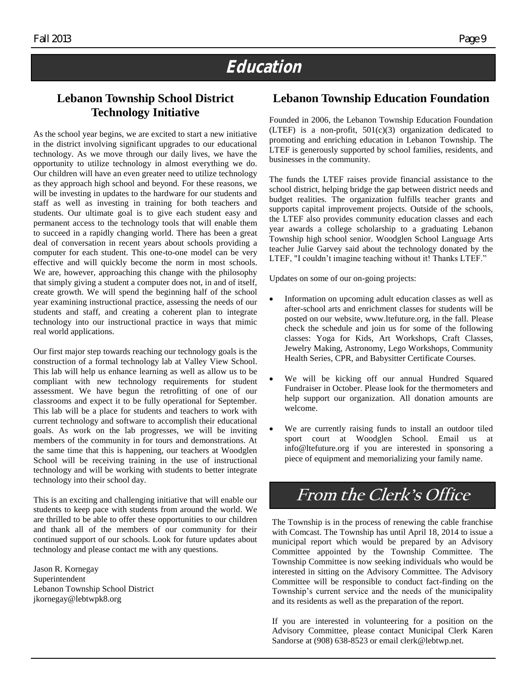## **Education**

### **Lebanon Township School District Technology Initiative**

As the school year begins, we are excited to start a new initiative in the district involving significant upgrades to our educational technology. As we move through our daily lives, we have the opportunity to utilize technology in almost everything we do. Our children will have an even greater need to utilize technology as they approach high school and beyond. For these reasons, we will be investing in updates to the hardware for our students and staff as well as investing in training for both teachers and students. Our ultimate goal is to give each student easy and permanent access to the technology tools that will enable them to succeed in a rapidly changing world. There has been a great deal of conversation in recent years about schools providing a computer for each student. This one-to-one model can be very effective and will quickly become the norm in most schools. We are, however, approaching this change with the philosophy that simply giving a student a computer does not, in and of itself, create growth. We will spend the beginning half of the school year examining instructional practice, assessing the needs of our students and staff, and creating a coherent plan to integrate technology into our instructional practice in ways that mimic real world applications.

Our first major step towards reaching our technology goals is the construction of a formal technology lab at Valley View School. This lab will help us enhance learning as well as allow us to be compliant with new technology requirements for student assessment. We have begun the retrofitting of one of our classrooms and expect it to be fully operational for September. This lab will be a place for students and teachers to work with current technology and software to accomplish their educational goals. As work on the lab progresses, we will be inviting members of the community in for tours and demonstrations. At the same time that this is happening, our teachers at Woodglen School will be receiving training in the use of instructional technology and will be working with students to better integrate technology into their school day.

This is an exciting and challenging initiative that will enable our students to keep pace with students from around the world. We are thrilled to be able to offer these opportunities to our children and thank all of the members of our community for their continued support of our schools. Look for future updates about technology and please contact me with any questions.

Jason R. Kornegay Superintendent Lebanon Township School District jkornegay@lebtwpk8.org

#### **Lebanon Township Education Foundation**

Founded in 2006, the Lebanon Township Education Foundation (LTEF) is a non-profit,  $501(c)(3)$  organization dedicated to promoting and enriching education in Lebanon Township. The LTEF is generously supported by school families, residents, and businesses in the community.

The funds the LTEF raises provide financial assistance to the school district, helping bridge the gap between district needs and budget realities. The organization fulfills teacher grants and supports capital improvement projects. Outside of the schools, the LTEF also provides community education classes and each year awards a college scholarship to a graduating Lebanon Township high school senior. Woodglen School Language Arts teacher Julie Garvey said about the technology donated by the LTEF, "I couldn't imagine teaching without it! Thanks LTEF."

Updates on some of our on-going projects:

- Information on upcoming adult education classes as well as after-school arts and enrichment classes for students will be posted on our website, www.ltefuture.org, in the fall. Please check the schedule and join us for some of the following classes: Yoga for Kids, Art Workshops, Craft Classes, Jewelry Making, Astronomy, Lego Workshops, Community Health Series, CPR, and Babysitter Certificate Courses.
- We will be kicking off our annual Hundred Squared Fundraiser in October. Please look for the thermometers and help support our organization. All donation amounts are welcome.
- We are currently raising funds to install an outdoor tiled sport court at Woodglen School. Email us at info@ltefuture.org if you are interested in sponsoring a piece of equipment and memorializing your family name.

### **From the Clerk's Office**

The Township is in the process of renewing the cable franchise with Comcast. The Township has until April 18, 2014 to issue a municipal report which would be prepared by an Advisory Committee appointed by the Township Committee. The Township Committee is now seeking individuals who would be interested in sitting on the Advisory Committee. The Advisory Committee will be responsible to conduct fact-finding on the Township's current service and the needs of the municipality and its residents as well as the preparation of the report.

If you are interested in volunteering for a position on the Advisory Committee, please contact Municipal Clerk Karen Sandorse at (908) 638-8523 or email clerk@lebtwp.net.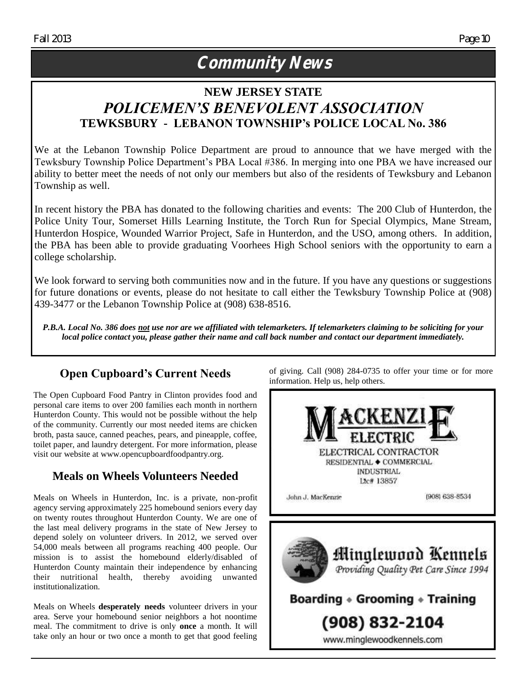## **Community News**

### **NEW JERSEY STATE** *POLICEMEN'S BENEVOLENT ASSOCIATION* **TEWKSBURY - LEBANON TOWNSHIP's POLICE LOCAL No. 386**

We at the Lebanon Township Police Department are proud to announce that we have merged with the Tewksbury Township Police Department's PBA Local #386. In merging into one PBA we have increased our ability to better meet the needs of not only our members but also of the residents of Tewksbury and Lebanon Township as well.

In recent history the PBA has donated to the following charities and events: The 200 Club of Hunterdon, the Police Unity Tour, Somerset Hills Learning Institute, the Torch Run for Special Olympics, Mane Stream, Hunterdon Hospice, Wounded Warrior Project, Safe in Hunterdon, and the USO, among others. In addition, the PBA has been able to provide graduating Voorhees High School seniors with the opportunity to earn a college scholarship.

We look forward to serving both communities now and in the future. If you have any questions or suggestions for future donations or events, please do not hesitate to call either the Tewksbury Township Police at (908) 439-3477 or the Lebanon Township Police at (908) 638-8516.

*P.B.A. Local No. 386 does not use nor are we affiliated with telemarketers. If telemarketers claiming to be soliciting for your local police contact you, please gather their name and call back number and contact our department immediately.*

### **Open Cupboard's Current Needs**

The Open Cupboard Food Pantry in Clinton provides food and personal care items to over 200 families each month in northern Hunterdon County. This would not be possible without the help of the community. Currently our most needed items are chicken broth, pasta sauce, canned peaches, pears, and pineapple, coffee, toilet paper, and laundry detergent. For more information, please visit our website at www.opencupboardfoodpantry.org.

### **Meals on Wheels Volunteers Needed**

Meals on Wheels in Hunterdon, Inc. is a private, non-profit agency serving approximately 225 homebound seniors every day on twenty routes throughout Hunterdon County. We are one of the last meal delivery programs in the state of New Jersey to depend solely on volunteer drivers. In 2012, we served over 54,000 meals between all programs reaching 400 people. Our mission is to assist the homebound elderly/disabled of Hunterdon County maintain their independence by enhancing their nutritional health, thereby avoiding unwanted institutionalization.

Meals on Wheels **desperately needs** volunteer drivers in your area. Serve your homebound senior neighbors a hot noontime meal. The commitment to drive is only **once** a month. It will take only an hour or two once a month to get that good feeling of giving. Call (908) 284-0735 to offer your time or for more information. Help us, help others.



www.minglewoodkennels.com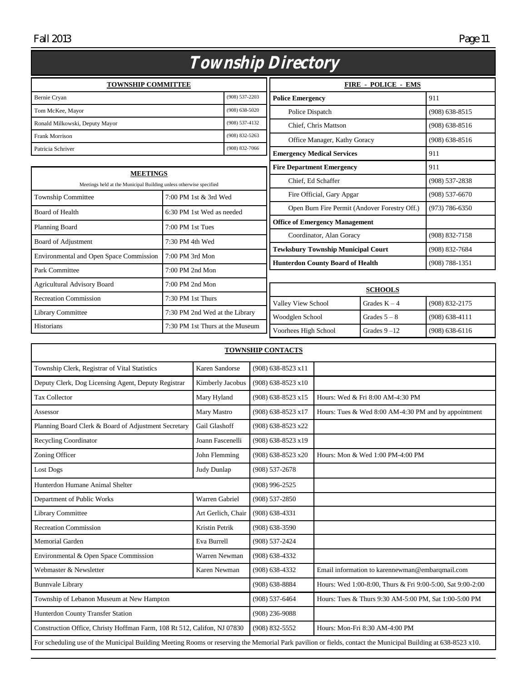Fall 2013 Page 11

| <i>Township Directory</i>                                                             |                                 |                                   |                                               |                    |                    |  |
|---------------------------------------------------------------------------------------|---------------------------------|-----------------------------------|-----------------------------------------------|--------------------|--------------------|--|
| <b>TOWNSHIP COMMITTEE</b>                                                             |                                 |                                   | <b>FIRE - POLICE - EMS</b>                    |                    |                    |  |
| Bernie Cryan                                                                          |                                 | (908) 537-2203                    | <b>Police Emergency</b>                       |                    | 911                |  |
| Tom McKee, Mayor                                                                      |                                 | $(908) 638 - 5020$                | Police Dispatch                               |                    | $(908) 638 - 8515$ |  |
| Ronald Milkowski, Deputy Mayor                                                        | (908) 537-4132                  | Chief, Chris Mattson              |                                               | $(908) 638 - 8516$ |                    |  |
| <b>Frank Morrison</b>                                                                 | $(908) 832 - 5263$              | Office Manager, Kathy Goracy      |                                               | $(908) 638 - 8516$ |                    |  |
| Patricia Schriver                                                                     | (908) 832-7066                  | <b>Emergency Medical Services</b> |                                               | 911                |                    |  |
|                                                                                       |                                 |                                   | <b>Fire Department Emergency</b>              |                    | 911                |  |
| <b>MEETINGS</b><br>Meetings held at the Municipal Building unless otherwise specified |                                 | Chief, Ed Schaffer                |                                               | (908) 537-2838     |                    |  |
| <b>Township Committee</b>                                                             | 7:00 PM 1st & 3rd Wed           |                                   | Fire Official, Gary Apgar                     |                    | $(908) 537 - 6670$ |  |
| <b>Board of Health</b>                                                                | 6:30 PM 1st Wed as needed       |                                   | Open Burn Fire Permit (Andover Forestry Off.) |                    | $(973) 786 - 6350$ |  |
| Planning Board                                                                        | $7:00$ PM 1st Tues              |                                   | <b>Office of Emergency Management</b>         |                    |                    |  |
|                                                                                       |                                 |                                   | Coordinator, Alan Goracy                      |                    | (908) 832-7158     |  |
| Board of Adjustment                                                                   | 7:30 PM 4th Wed                 |                                   | <b>Tewksbury Township Municipal Court</b>     |                    | (908) 832-7684     |  |
| <b>Environmental and Open Space Commission</b>                                        | 7:00 PM 3rd Mon                 |                                   | <b>Hunterdon County Board of Health</b>       |                    | $(908) 788 - 1351$ |  |
| Park Committee                                                                        | 7:00 PM 2nd Mon                 |                                   |                                               |                    |                    |  |
| <b>Agricultural Advisory Board</b>                                                    | 7:00 PM 2nd Mon                 |                                   |                                               | <b>SCHOOLS</b>     |                    |  |
| <b>Recreation Commission</b>                                                          | 7:30 PM 1st Thurs               |                                   | Valley View School                            | Grades $K - 4$     | (908) 832-2175     |  |
| <b>Library Committee</b>                                                              | 7:30 PM 2nd Wed at the Library  |                                   | Woodglen School                               | Grades $5 - 8$     | $(908) 638 - 4111$ |  |
| Historians                                                                            | 7:30 PM 1st Thurs at the Museum |                                   |                                               |                    |                    |  |
|                                                                                       |                                 | Voorhees High School              | Grades $9 - 12$                               | $(908) 638 - 6116$ |                    |  |

| <b>TOWNSHIP CONTACTS</b>                                                                                                                                      |                    |                      |                                                            |  |
|---------------------------------------------------------------------------------------------------------------------------------------------------------------|--------------------|----------------------|------------------------------------------------------------|--|
| Township Clerk, Registrar of Vital Statistics                                                                                                                 | Karen Sandorse     | $(908)$ 638-8523 x11 |                                                            |  |
| Deputy Clerk, Dog Licensing Agent, Deputy Registrar                                                                                                           | Kimberly Jacobus   | (908) 638-8523 x10   |                                                            |  |
| <b>Tax Collector</b>                                                                                                                                          | Mary Hyland        | (908) 638-8523 x15   | Hours: Wed & Fri 8:00 AM-4:30 PM                           |  |
| Assessor                                                                                                                                                      | Mary Mastro        | (908) 638-8523 x17   | Hours: Tues & Wed 8:00 AM-4:30 PM and by appointment       |  |
| Planning Board Clerk & Board of Adjustment Secretary                                                                                                          | Gail Glashoff      | $(908)$ 638-8523 x22 |                                                            |  |
| <b>Recycling Coordinator</b>                                                                                                                                  | Joann Fascenelli   | (908) 638-8523 x19   |                                                            |  |
| Zoning Officer                                                                                                                                                | John Flemming      | (908) 638-8523 x20   | Hours: Mon & Wed 1:00 PM-4:00 PM                           |  |
| Lost Dogs                                                                                                                                                     | Judy Dunlap        | $(908) 537 - 2678$   |                                                            |  |
| Hunterdon Humane Animal Shelter                                                                                                                               |                    | $(908)$ 996-2525     |                                                            |  |
| Department of Public Works                                                                                                                                    | Warren Gabriel     | $(908) 537 - 2850$   |                                                            |  |
| Library Committee                                                                                                                                             | Art Gerlich, Chair | $(908) 638 - 4331$   |                                                            |  |
| <b>Recreation Commission</b>                                                                                                                                  | Kristin Petrik     | $(908) 638 - 3590$   |                                                            |  |
| <b>Memorial Garden</b>                                                                                                                                        | Eva Burrell        | $(908) 537 - 2424$   |                                                            |  |
| Environmental & Open Space Commission                                                                                                                         | Warren Newman      | $(908) 638 - 4332$   |                                                            |  |
| Webmaster & Newsletter                                                                                                                                        | Karen Newman       | $(908) 638 - 4332$   | Email information to karennewman@embarqmail.com            |  |
| <b>Bunnvale Library</b>                                                                                                                                       |                    | $(908) 638 - 8884$   | Hours: Wed 1:00-8:00, Thurs & Fri 9:00-5:00, Sat 9:00-2:00 |  |
| Township of Lebanon Museum at New Hampton                                                                                                                     |                    | $(908) 537 - 6464$   | Hours: Tues & Thurs 9:30 AM-5:00 PM, Sat 1:00-5:00 PM      |  |
| Hunterdon County Transfer Station                                                                                                                             |                    | $(908)$ 236-9088     |                                                            |  |
| Construction Office, Christy Hoffman Farm, 108 Rt 512, Califon, NJ 07830                                                                                      |                    | (908) 832-5552       | Hours: Mon-Fri 8:30 AM-4:00 PM                             |  |
| For scheduling use of the Municipal Building Meeting Rooms or reserving the Memorial Park pavilion or fields, contact the Municipal Building at 638-8523 x10. |                    |                      |                                                            |  |